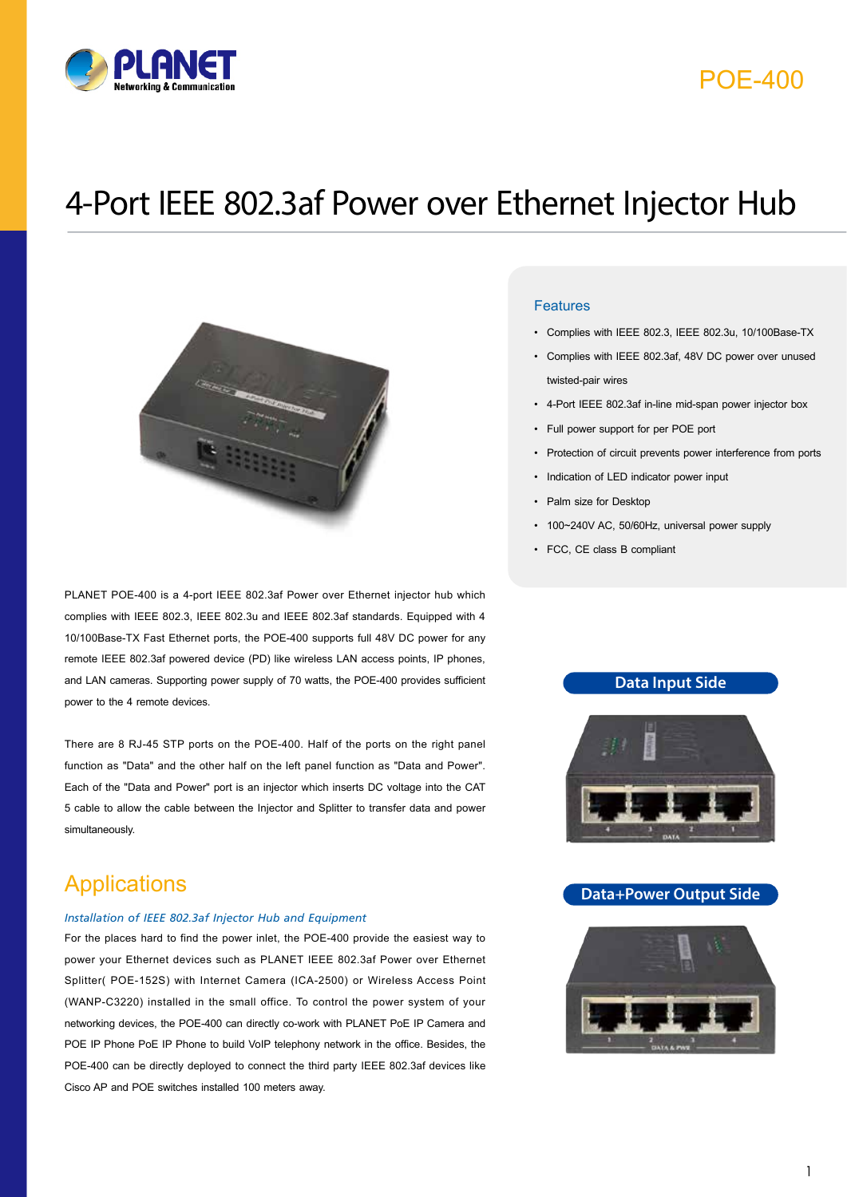

# POE-400

# 4-Port IEEE 802.3af Power over Ethernet Injector Hub



PLANET POE-400 is a 4-port IEEE 802.3af Power over Ethernet injector hub which complies with IEEE 802.3, IEEE 802.3u and IEEE 802.3af standards. Equipped with 4 10/100Base-TX Fast Ethernet ports, the POE-400 supports full 48V DC power for any remote IEEE 802.3af powered device (PD) like wireless LAN access points, IP phones, and LAN cameras. Supporting power supply of 70 watts, the POE-400 provides sufficient power to the 4 remote devices.

There are 8 RJ-45 STP ports on the POE-400. Half of the ports on the right panel function as "Data" and the other half on the left panel function as "Data and Power". Each of the "Data and Power" port is an injector which inserts DC voltage into the CAT 5 cable to allow the cable between the Injector and Splitter to transfer data and power simultaneously.

## **Applications**

#### *Installation of IEEE 802.3af Injector Hub and Equipment*

For the places hard to find the power inlet, the POE-400 provide the easiest way to power your Ethernet devices such as PLANET IEEE 802.3af Power over Ethernet Splitter( POE-152S) with Internet Camera (ICA-2500) or Wireless Access Point (WANP-C3220) installed in the small office. To control the power system of your networking devices, the POE-400 can directly co-work with PLANET PoE IP Camera and POE IP Phone PoE IP Phone to build VoIP telephony network in the office. Besides, the POE-400 can be directly deployed to connect the third party IEEE 802.3af devices like Cisco AP and POE switches installed 100 meters away.

### Features

- Complies with IEEE 802.3, IEEE 802.3u, 10/100Base-TX
- Complies with IEEE 802.3af, 48V DC power over unused twisted-pair wires
- 4-Port IEEE 802.3af in-line mid-span power injector box
- Full power support for per POE port
- Protection of circuit prevents power interference from ports
- Indication of LED indicator power input
- Palm size for Desktop
- 100~240V AC, 50/60Hz, universal power supply
- FCC, CE class B compliant

### **Data Input Side**



### **Data+Power Output Side**